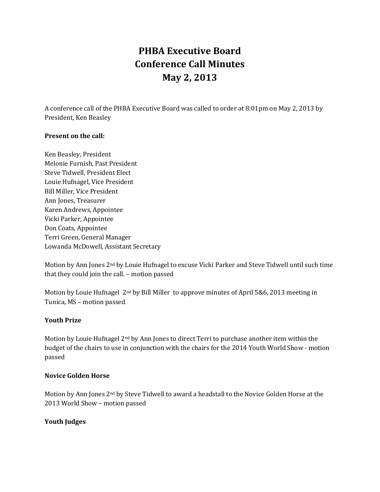# **PHBA Executive Board Conference Call Minutes May 2, 2013**

A conference call of the PHBA Executive Board was called to order at 8:01pm on May 2, 2013 by President, Ken Beasley

## **Present on the call:**

Ken Beasley, President Melonie Furnish, Past President Steve Tidwell, President Elect Louie Hufnagel, Vice President Bill Miller, Vice President Ann Jones, Treasurer Karen Andrews, Appointee Vicki Parker, Appointee Don Coats, Appointee Terri Green, General Manager Lowanda McDowell, Assistant Secretary

Motion by Ann Jones 2nd by Louie Hufnagel to excuse Vicki Parker and Steve Tidwell until such time that they could join the call. – motion passed

Motion by Louie Hufnagel 2nd by Bill Miller to approve minutes of April 5&6, 2013 meeting in Tunica, MS – motion passed

## **Youth Prize**

Motion by Louie Hufnagel 2<sup>nd</sup> by Ann Jones to direct Terri to purchase another item within the budget of the chairs to use in conjunction with the chairs for the 2014 Youth World Show - motion passed

#### **Novice Golden Horse**

Motion by Ann Jones 2nd by Steve Tidwell to award a headstall to the Novice Golden Horse at the 2013 World Show – motion passed

## **Youth Judges**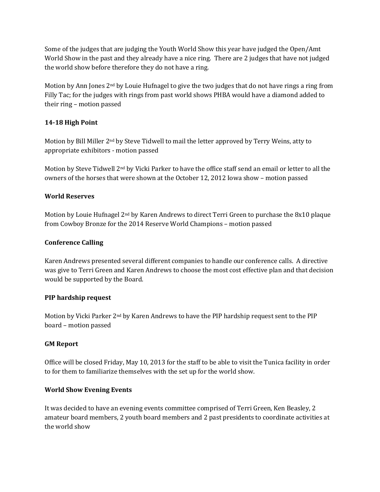Some of the judges that are judging the Youth World Show this year have judged the Open/Amt World Show in the past and they already have a nice ring. There are 2 judges that have not judged the world show before therefore they do not have a ring.

Motion by Ann Jones  $2<sup>nd</sup>$  by Louie Hufnagel to give the two judges that do not have rings a ring from Filly Tac; for the judges with rings from past world shows PHBA would have a diamond added to their ring – motion passed

## **14-18 High Point**

Motion by Bill Miller 2nd by Steve Tidwell to mail the letter approved by Terry Weins, atty to appropriate exhibitors - motion passed

Motion by Steve Tidwell 2nd by Vicki Parker to have the office staff send an email or letter to all the owners of the horses that were shown at the October 12, 2012 Iowa show – motion passed

## **World Reserves**

Motion by Louie Hufnagel 2nd by Karen Andrews to direct Terri Green to purchase the 8x10 plaque from Cowboy Bronze for the 2014 Reserve World Champions – motion passed

## **Conference Calling**

Karen Andrews presented several different companies to handle our conference calls. A directive was give to Terri Green and Karen Andrews to choose the most cost effective plan and that decision would be supported by the Board.

## **PIP hardship request**

Motion by Vicki Parker  $2<sup>nd</sup>$  by Karen Andrews to have the PIP hardship request sent to the PIP board – motion passed

## **GM Report**

Office will be closed Friday, May 10, 2013 for the staff to be able to visit the Tunica facility in order to for them to familiarize themselves with the set up for the world show.

## **World Show Evening Events**

It was decided to have an evening events committee comprised of Terri Green, Ken Beasley, 2 amateur board members, 2 youth board members and 2 past presidents to coordinate activities at the world show